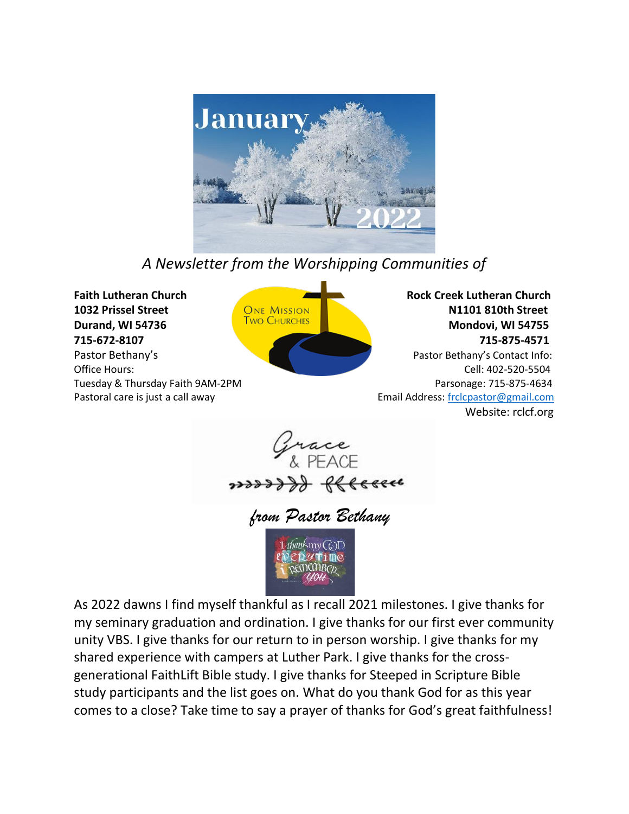

# *A Newsletter from the Worshipping Communities of*



**Durand, WI 54736** Mondovi, WI 54755 **715-672-8107 715-875-4571**

**Pastor Bethany's Pastor Bethany's** Contact Info: Office Hours: Cell: 402-520-5504 Tuesday & Thursday Faith 9AM-2PM **Parsonage: 715-875-4634** Parsonage: 715-875-4634 Pastoral care is just a call away extending the setting of the contract Email Address[: frclcpastor@gmail.com](mailto:frclcpastor@gmail.com) Website: rclcf.org



*from Pastor Bethany*



As 2022 dawns I find myself thankful as I recall 2021 milestones. I give thanks for my seminary graduation and ordination. I give thanks for our first ever community unity VBS. I give thanks for our return to in person worship. I give thanks for my shared experience with campers at Luther Park. I give thanks for the crossgenerational FaithLift Bible study. I give thanks for Steeped in Scripture Bible study participants and the list goes on. What do you thank God for as this year comes to a close? Take time to say a prayer of thanks for God's great faithfulness!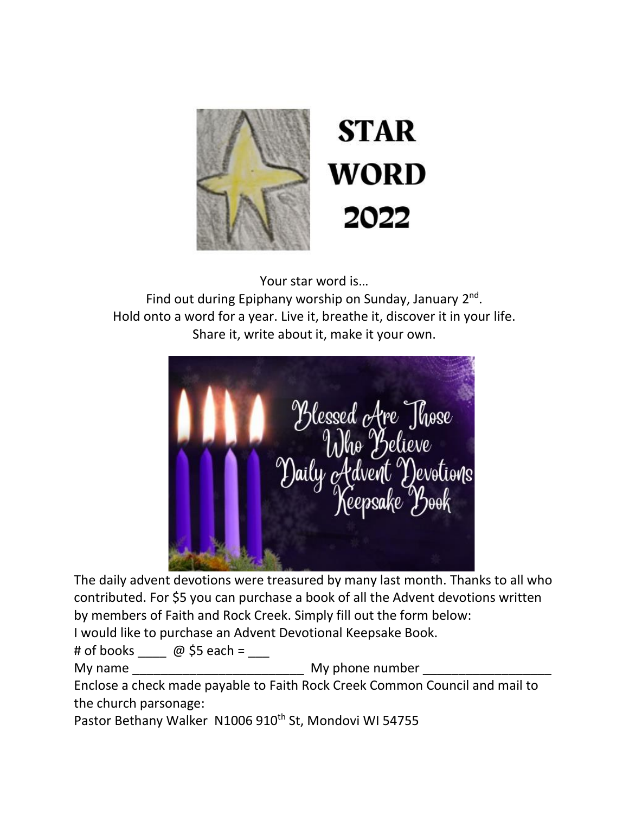

Your star word is…

Find out during Epiphany worship on Sunday, January 2<sup>nd</sup>. Hold onto a word for a year. Live it, breathe it, discover it in your life. Share it, write about it, make it your own.



The daily advent devotions were treasured by many last month. Thanks to all who contributed. For \$5 you can purchase a book of all the Advent devotions written by members of Faith and Rock Creek. Simply fill out the form below:

I would like to purchase an Advent Devotional Keepsake Book.

# of books  $\omega$  \$5 each =

My name the control of the My phone number  $\mathsf{M}_\mathsf{V}$  phone number

Enclose a check made payable to Faith Rock Creek Common Council and mail to the church parsonage:

Pastor Bethany Walker N1006 910<sup>th</sup> St, Mondovi WI 54755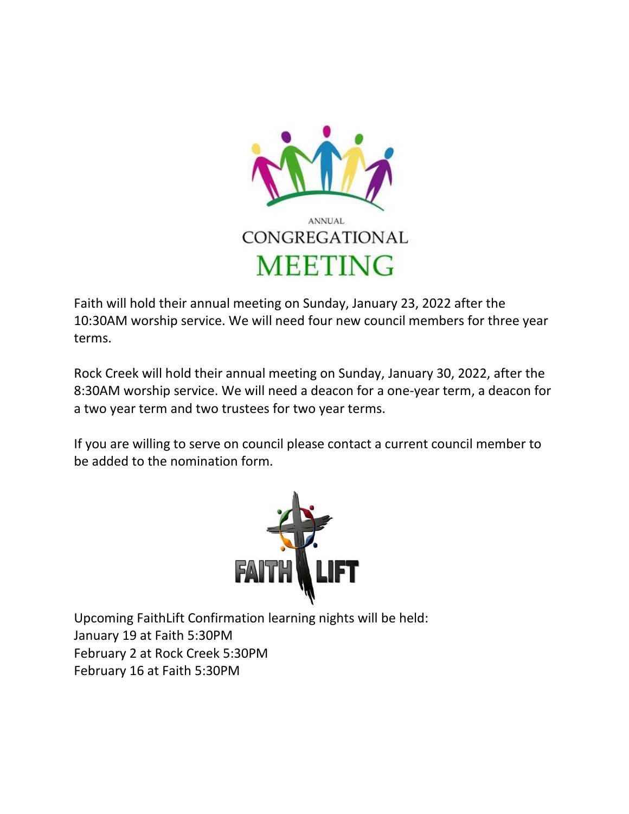

Faith will hold their annual meeting on Sunday, January 23, 2022 after the 10:30AM worship service. We will need four new council members for three year terms.

Rock Creek will hold their annual meeting on Sunday, January 30, 2022, after the 8:30AM worship service. We will need a deacon for a one-year term, a deacon for a two year term and two trustees for two year terms.

If you are willing to serve on council please contact a current council member to be added to the nomination form.



Upcoming FaithLift Confirmation learning nights will be held: January 19 at Faith 5:30PM February 2 at Rock Creek 5:30PM February 16 at Faith 5:30PM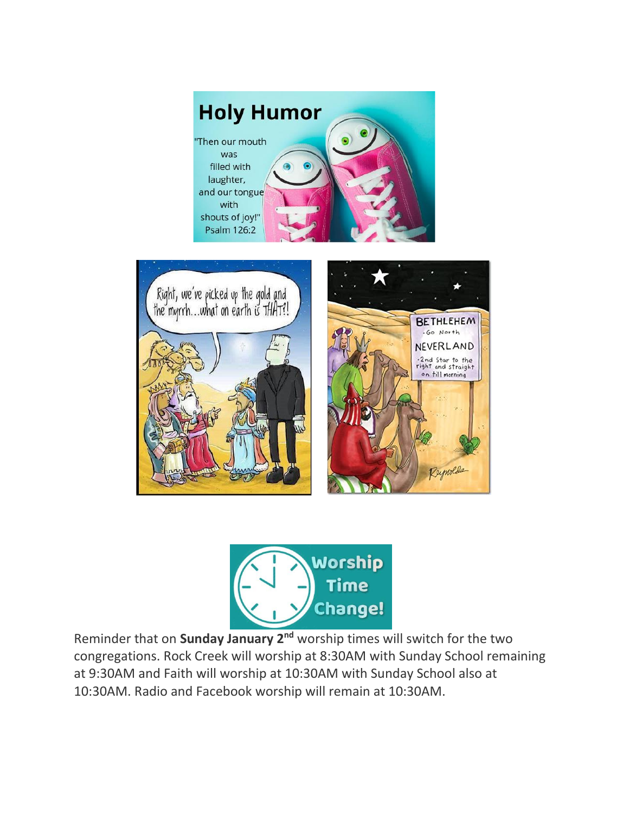





Reminder that on **Sunday January 2nd** worship times will switch for the two congregations. Rock Creek will worship at 8:30AM with Sunday School remaining at 9:30AM and Faith will worship at 10:30AM with Sunday School also at 10:30AM. Radio and Facebook worship will remain at 10:30AM.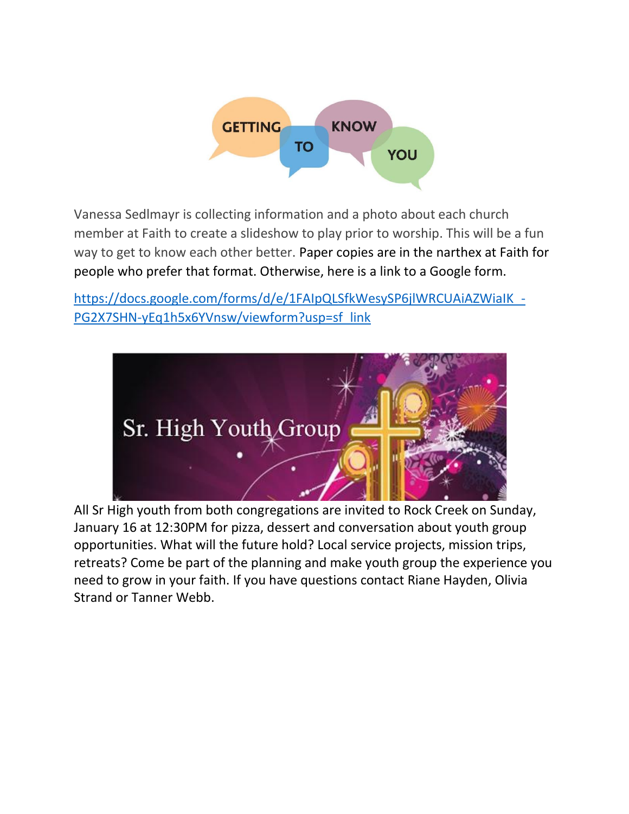

Vanessa Sedlmayr is collecting information and a photo about each church member at Faith to create a slideshow to play prior to worship. This will be a fun way to get to know each other better. Paper copies are in the narthex at Faith for people who prefer that format. Otherwise, here is a link to a Google form.

https://docs.google.com/forms/d/e/1FAIpQLSfkWesySP6jlWRCUAiAZWiaIK -[PG2X7SHN-yEq1h5x6YVnsw/viewform?usp=sf\\_link](https://docs.google.com/forms/d/e/1FAIpQLSfkWesySP6jlWRCUAiAZWiaIK_-PG2X7SHN-yEq1h5x6YVnsw/viewform?usp=sf_link)



All Sr High youth from both congregations are invited to Rock Creek on Sunday, January 16 at 12:30PM for pizza, dessert and conversation about youth group opportunities. What will the future hold? Local service projects, mission trips, retreats? Come be part of the planning and make youth group the experience you need to grow in your faith. If you have questions contact Riane Hayden, Olivia Strand or Tanner Webb.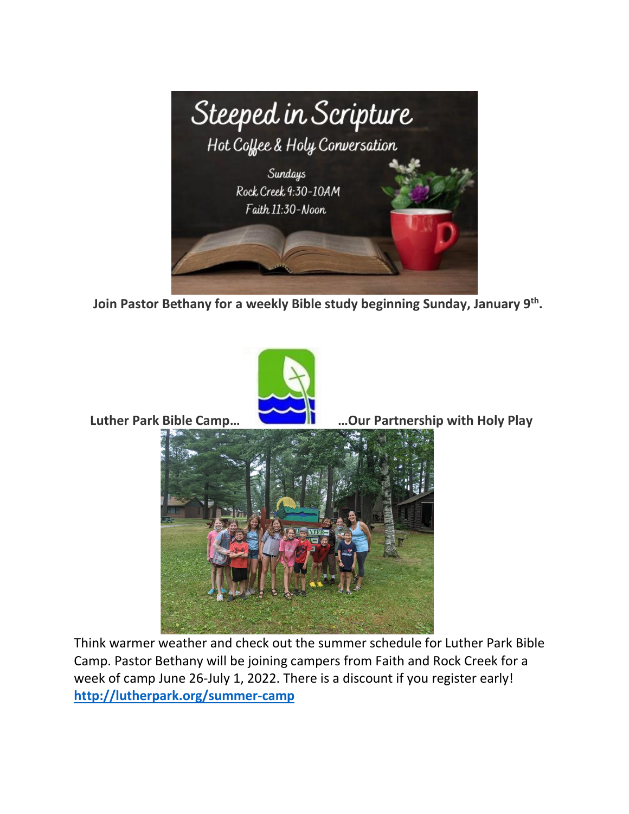

 **Join Pastor Bethany for a weekly Bible study beginning Sunday, January 9th .** 



 **Luther Park Bible Camp… …Our Partnership with Holy Play** 



Think warmer weather and check out the summer schedule for Luther Park Bible Camp. Pastor Bethany will be joining campers from Faith and Rock Creek for a week of camp June 26-July 1, 2022. There is a discount if you register early! **<http://lutherpark.org/summer-camp>**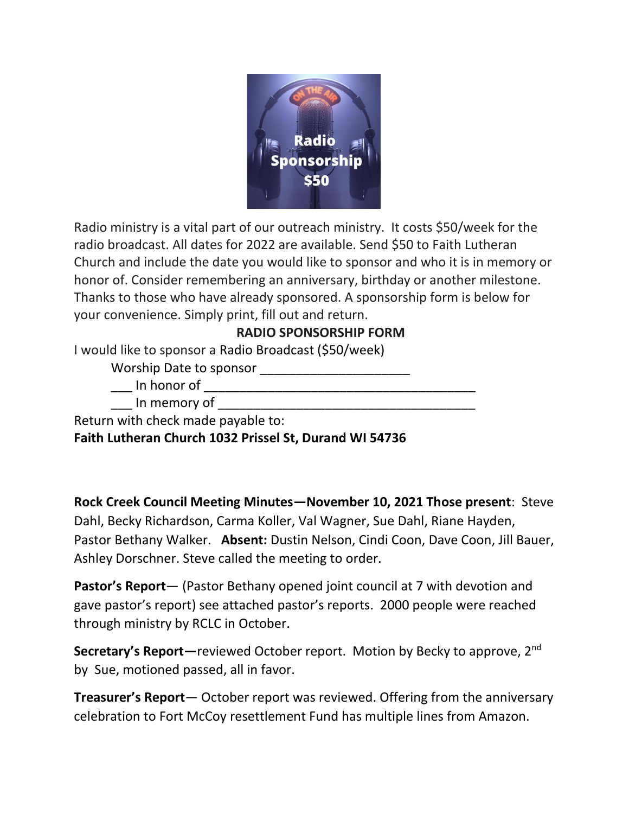

Radio ministry is a vital part of our outreach ministry. It costs \$50/week for the radio broadcast. All dates for 2022 are available. Send \$50 to Faith Lutheran Church and include the date you would like to sponsor and who it is in memory or honor of. Consider remembering an anniversary, birthday or another milestone. Thanks to those who have already sponsored. A sponsorship form is below for your convenience. Simply print, fill out and return.

### **RADIO SPONSORSHIP FORM**

I would like to sponsor a Radio Broadcast (\$50/week)

Worship Date to sponsor \_\_\_\_\_\_\_\_\_\_\_\_\_\_\_\_\_\_\_\_\_

\_\_\_ In honor of \_\_\_\_\_\_\_\_\_\_\_\_\_\_\_\_\_\_\_\_\_\_\_\_\_\_\_\_\_\_\_\_\_\_\_\_\_\_

In memory of **Example 20** 

Return with check made payable to:

**Faith Lutheran Church 1032 Prissel St, Durand WI 54736**

**Rock Creek Council Meeting Minutes—November 10, 2021 Those present**: Steve Dahl, Becky Richardson, Carma Koller, Val Wagner, Sue Dahl, Riane Hayden, Pastor Bethany Walker. **Absent:** Dustin Nelson, Cindi Coon, Dave Coon, Jill Bauer, Ashley Dorschner. Steve called the meeting to order.

**Pastor's Report**— (Pastor Bethany opened joint council at 7 with devotion and gave pastor's report) see attached pastor's reports. 2000 people were reached through ministry by RCLC in October.

**Secretary's Report**—reviewed October report. Motion by Becky to approve, 2<sup>nd</sup> by Sue, motioned passed, all in favor.

**Treasurer's Report**— October report was reviewed. Offering from the anniversary celebration to Fort McCoy resettlement Fund has multiple lines from Amazon.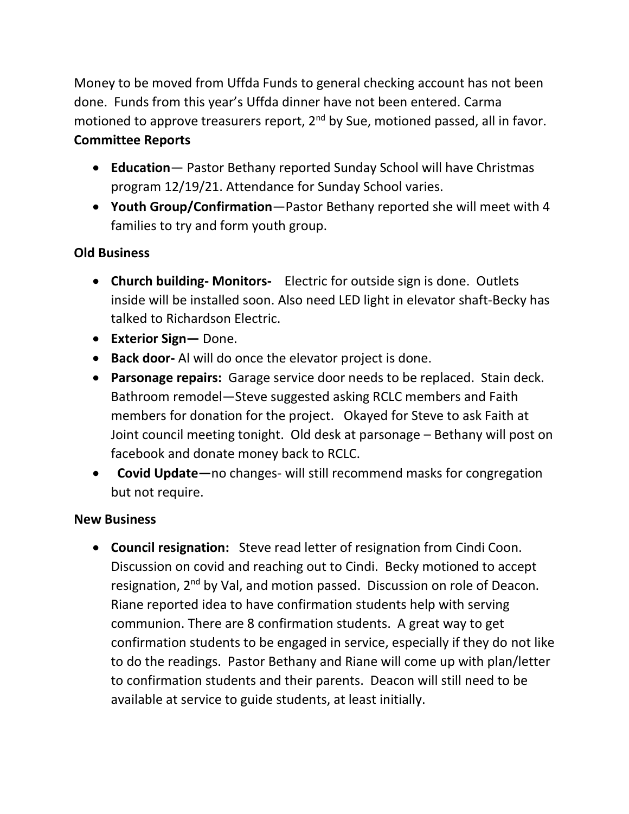Money to be moved from Uffda Funds to general checking account has not been done. Funds from this year's Uffda dinner have not been entered. Carma motioned to approve treasurers report, 2<sup>nd</sup> by Sue, motioned passed, all in favor. **Committee Reports**

- **Education** Pastor Bethany reported Sunday School will have Christmas program 12/19/21. Attendance for Sunday School varies.
- **Youth Group/Confirmation**—Pastor Bethany reported she will meet with 4 families to try and form youth group.

## **Old Business**

- **Church building- Monitors-** Electric for outside sign is done. Outlets inside will be installed soon. Also need LED light in elevator shaft-Becky has talked to Richardson Electric.
- **Exterior Sign—** Done.
- **Back door-** Al will do once the elevator project is done.
- **Parsonage repairs:** Garage service door needs to be replaced. Stain deck. Bathroom remodel—Steve suggested asking RCLC members and Faith members for donation for the project. Okayed for Steve to ask Faith at Joint council meeting tonight. Old desk at parsonage – Bethany will post on facebook and donate money back to RCLC.
- **Covid Update—**no changes- will still recommend masks for congregation but not require.

### **New Business**

• **Council resignation:** Steve read letter of resignation from Cindi Coon. Discussion on covid and reaching out to Cindi. Becky motioned to accept resignation, 2<sup>nd</sup> by Val, and motion passed. Discussion on role of Deacon. Riane reported idea to have confirmation students help with serving communion. There are 8 confirmation students. A great way to get confirmation students to be engaged in service, especially if they do not like to do the readings. Pastor Bethany and Riane will come up with plan/letter to confirmation students and their parents. Deacon will still need to be available at service to guide students, at least initially.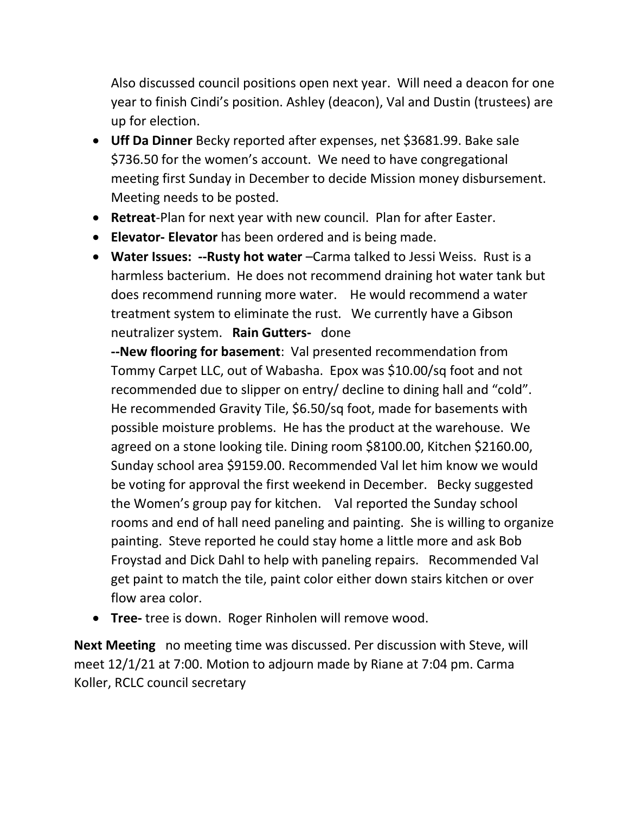Also discussed council positions open next year. Will need a deacon for one year to finish Cindi's position. Ashley (deacon), Val and Dustin (trustees) are up for election.

- **Uff Da Dinner** Becky reported after expenses, net \$3681.99. Bake sale \$736.50 for the women's account. We need to have congregational meeting first Sunday in December to decide Mission money disbursement. Meeting needs to be posted.
- **Retreat**-Plan for next year with new council. Plan for after Easter.
- **Elevator- Elevator** has been ordered and is being made.
- **Water Issues: --Rusty hot water** –Carma talked to Jessi Weiss. Rust is a harmless bacterium. He does not recommend draining hot water tank but does recommend running more water. He would recommend a water treatment system to eliminate the rust. We currently have a Gibson neutralizer system. **Rain Gutters-** done

**--New flooring for basement**: Val presented recommendation from Tommy Carpet LLC, out of Wabasha. Epox was \$10.00/sq foot and not recommended due to slipper on entry/ decline to dining hall and "cold". He recommended Gravity Tile, \$6.50/sq foot, made for basements with possible moisture problems. He has the product at the warehouse. We agreed on a stone looking tile. Dining room \$8100.00, Kitchen \$2160.00, Sunday school area \$9159.00. Recommended Val let him know we would be voting for approval the first weekend in December. Becky suggested the Women's group pay for kitchen. Val reported the Sunday school rooms and end of hall need paneling and painting. She is willing to organize painting. Steve reported he could stay home a little more and ask Bob Froystad and Dick Dahl to help with paneling repairs. Recommended Val get paint to match the tile, paint color either down stairs kitchen or over flow area color.

• **Tree-** tree is down. Roger Rinholen will remove wood.

**Next Meeting** no meeting time was discussed. Per discussion with Steve, will meet 12/1/21 at 7:00. Motion to adjourn made by Riane at 7:04 pm. Carma Koller, RCLC council secretary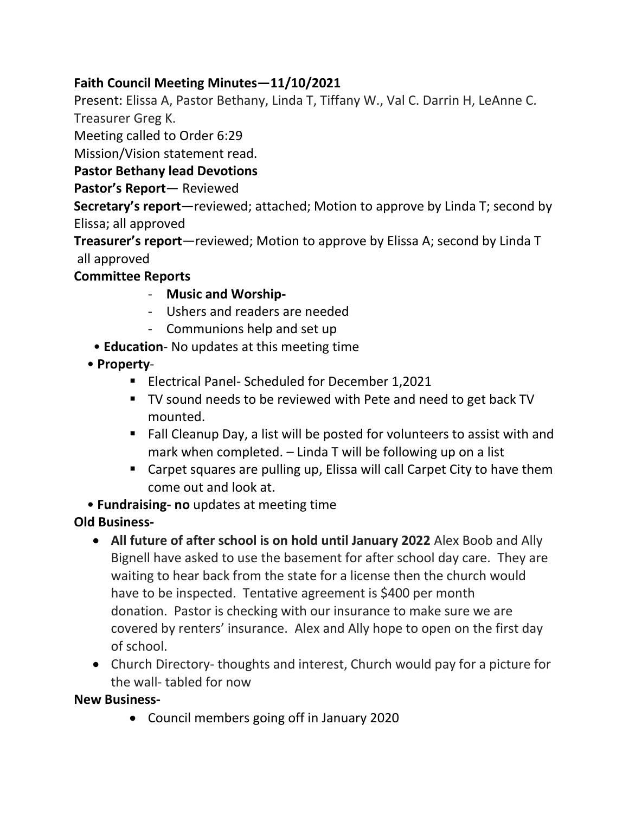## **Faith Council Meeting Minutes—11/10/2021**

Present: Elissa A, Pastor Bethany, Linda T, Tiffany W., Val C. Darrin H, LeAnne C. Treasurer Greg K.

Meeting called to Order 6:29

Mission/Vision statement read.

### **Pastor Bethany lead Devotions**

#### **Pastor's Report**— Reviewed

**Secretary's report**—reviewed; attached; Motion to approve by Linda T; second by Elissa; all approved

**Treasurer's report**—reviewed; Motion to approve by Elissa A; second by Linda T all approved

### **Committee Reports**

- **Music and Worship-**
- Ushers and readers are needed
- Communions help and set up
- **Education** No updates at this meeting time
- **Property**
	- Electrical Panel- Scheduled for December 1,2021
	- TV sound needs to be reviewed with Pete and need to get back TV mounted.
	- Fall Cleanup Day, a list will be posted for volunteers to assist with and mark when completed. – Linda T will be following up on a list
	- Carpet squares are pulling up, Elissa will call Carpet City to have them come out and look at.

• **Fundraising- no** updates at meeting time

#### **Old Business-**

- **All future of after school is on hold until January 2022** Alex Boob and Ally Bignell have asked to use the basement for after school day care. They are waiting to hear back from the state for a license then the church would have to be inspected. Tentative agreement is \$400 per month donation. Pastor is checking with our insurance to make sure we are covered by renters' insurance. Alex and Ally hope to open on the first day of school.
- Church Directory- thoughts and interest, Church would pay for a picture for the wall- tabled for now

#### **New Business-**

• Council members going off in January 2020